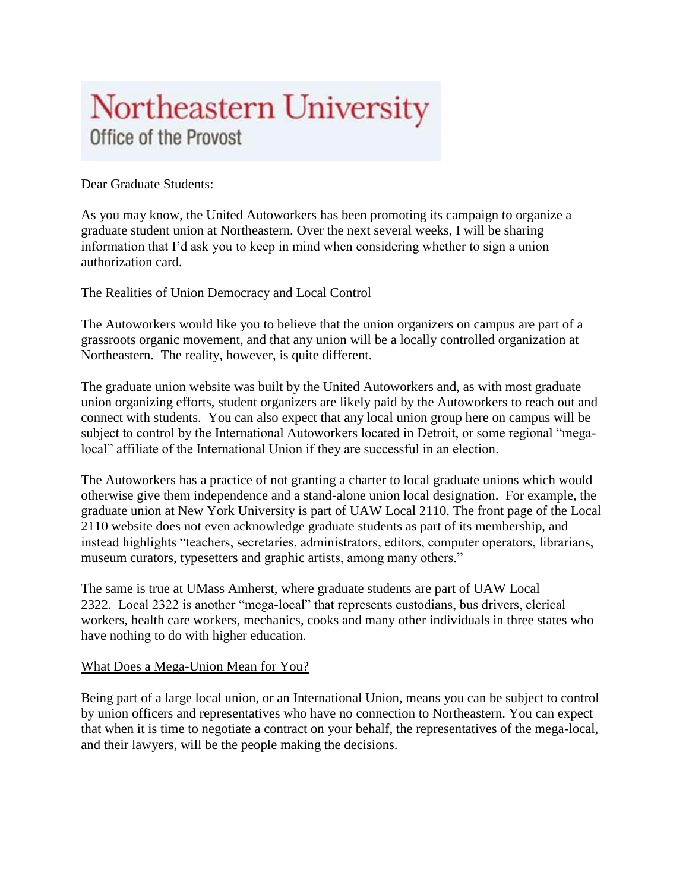## Northeastern University Office of the Provost

## Dear Graduate Students:

As you may know, the United Autoworkers has been promoting its campaign to organize a graduate student union at Northeastern. Over the next several weeks, I will be sharing information that I'd ask you to keep in mind when considering whether to sign a union authorization card.

## The Realities of Union Democracy and Local Control

The Autoworkers would like you to believe that the union organizers on campus are part of a grassroots organic movement, and that any union will be a locally controlled organization at Northeastern. The reality, however, is quite different.

The graduate union website was built by the United Autoworkers and, as with most graduate union organizing efforts, student organizers are likely paid by the Autoworkers to reach out and connect with students. You can also expect that any local union group here on campus will be subject to control by the International Autoworkers located in Detroit, or some regional "megalocal" affiliate of the International Union if they are successful in an election.

The Autoworkers has a practice of not granting a charter to local graduate unions which would otherwise give them independence and a stand-alone union local designation. For example, the graduate union at New York University is part of UAW Local 2110. The front page of the Local 2110 website does not even acknowledge graduate students as part of its membership, and instead highlights "teachers, secretaries, administrators, editors, computer operators, librarians, museum curators, typesetters and graphic artists, among many others."

The same is true at UMass Amherst, where graduate students are part of UAW Local 2322. Local 2322 is another "mega-local" that represents custodians, bus drivers, clerical workers, health care workers, mechanics, cooks and many other individuals in three states who have nothing to do with higher education.

## What Does a Mega-Union Mean for You?

Being part of a large local union, or an International Union, means you can be subject to control by union officers and representatives who have no connection to Northeastern. You can expect that when it is time to negotiate a contract on your behalf, the representatives of the mega-local, and their lawyers, will be the people making the decisions.